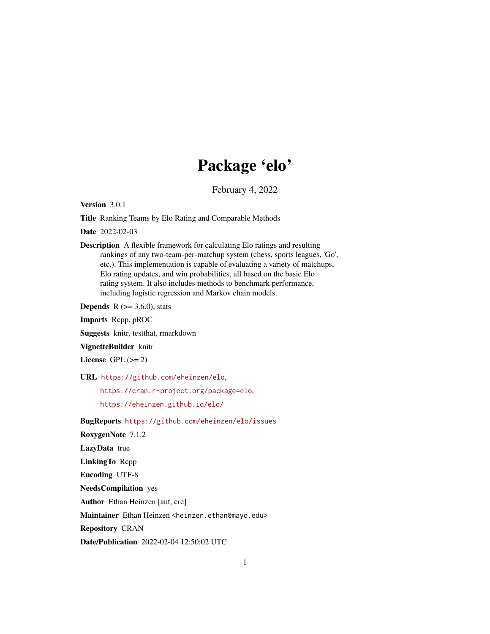## Package 'elo'

February 4, 2022

<span id="page-0-0"></span>Version 3.0.1

Title Ranking Teams by Elo Rating and Comparable Methods

Date 2022-02-03

Description A flexible framework for calculating Elo ratings and resulting rankings of any two-team-per-matchup system (chess, sports leagues, 'Go', etc.). This implementation is capable of evaluating a variety of matchups, Elo rating updates, and win probabilities, all based on the basic Elo rating system. It also includes methods to benchmark performance, including logistic regression and Markov chain models.

**Depends** R  $(>= 3.6.0)$ , stats

Imports Rcpp, pROC

Suggests knitr, testthat, rmarkdown

VignetteBuilder knitr

License GPL  $(>= 2)$ 

URL <https://github.com/eheinzen/elo>,

<https://cran.r-project.org/package=elo>,

<https://eheinzen.github.io/elo/>

BugReports <https://github.com/eheinzen/elo/issues>

RoxygenNote 7.1.2

LazyData true

LinkingTo Rcpp

Encoding UTF-8

NeedsCompilation yes

Author Ethan Heinzen [aut, cre]

Maintainer Ethan Heinzen <heinzen.ethan@mayo.edu>

Repository CRAN

Date/Publication 2022-02-04 12:50:02 UTC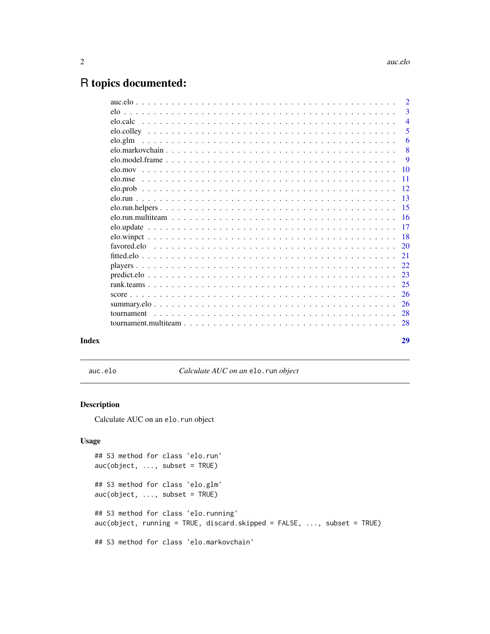## <span id="page-1-0"></span>R topics documented:

|       |            | $\overline{2}$  |
|-------|------------|-----------------|
|       |            | 3               |
|       |            | $\overline{4}$  |
|       |            | 5               |
|       |            | 6               |
|       |            | 8               |
|       |            | 9               |
|       |            | $\overline{10}$ |
|       |            | -11             |
|       |            |                 |
|       |            |                 |
|       |            |                 |
|       |            |                 |
|       |            |                 |
|       |            |                 |
|       |            |                 |
|       |            |                 |
|       |            |                 |
|       |            |                 |
|       |            |                 |
|       |            | -26             |
|       |            |                 |
|       | tournament |                 |
|       |            |                 |
|       |            |                 |
| Index |            | 29              |

auc.elo *Calculate AUC on an* elo.run *object*

#### <span id="page-1-1"></span>Description

Calculate AUC on an elo.run object

```
## S3 method for class 'elo.run'
auc(object, ..., subset = TRUE)
## S3 method for class 'elo.glm'
auc(object, ..., subset = TRUE)
## S3 method for class 'elo.running'
auc(object, running = TRUE, discard.skipped = FALSE, ..., subset = TRUE)
## S3 method for class 'elo.markovchain'
```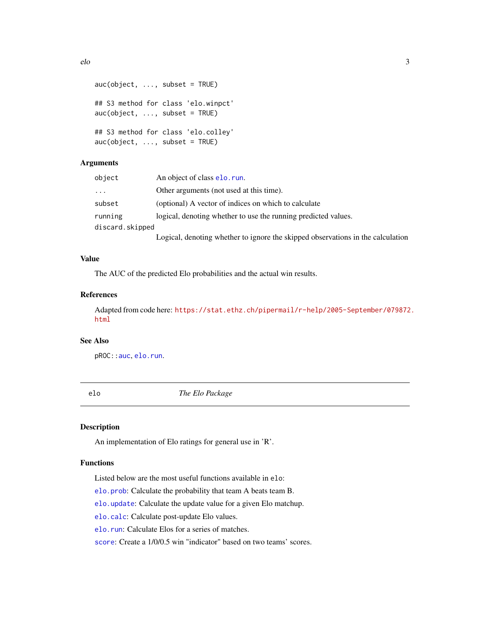```
elo 3
```

```
auc(objject, ..., subset = TRUE)## S3 method for class 'elo.winpct'
auc(object, ..., subset = TRUE)
## S3 method for class 'elo.colley'
auc(object, ..., subset = TRUE)
```
### Arguments

| object          | An object of class elo. run.                                                    |
|-----------------|---------------------------------------------------------------------------------|
| $\cdot$         | Other arguments (not used at this time).                                        |
| subset          | (optional) A vector of indices on which to calculate                            |
| running         | logical, denoting whether to use the running predicted values.                  |
| discard.skipped |                                                                                 |
|                 | Logical, denoting whether to ignore the skipped observations in the calculation |

#### Value

The AUC of the predicted Elo probabilities and the actual win results.

### References

Adapted from code here: [https://stat.ethz.ch/pipermail/r-help/2005-September/079872](https://stat.ethz.ch/pipermail/r-help/2005-September/079872.html). [html](https://stat.ethz.ch/pipermail/r-help/2005-September/079872.html)

#### See Also

pROC:[:auc](#page-0-0), [elo.run](#page-12-1).

elo *The Elo Package*

#### Description

An implementation of Elo ratings for general use in 'R'.

#### Functions

Listed below are the most useful functions available in elo:

[elo.prob](#page-11-1): Calculate the probability that team A beats team B.

[elo.update](#page-16-1): Calculate the update value for a given Elo matchup.

[elo.calc](#page-3-1): Calculate post-update Elo values.

[elo.run](#page-12-1): Calculate Elos for a series of matches.

[score](#page-25-1): Create a 1/0/0.5 win "indicator" based on two teams' scores.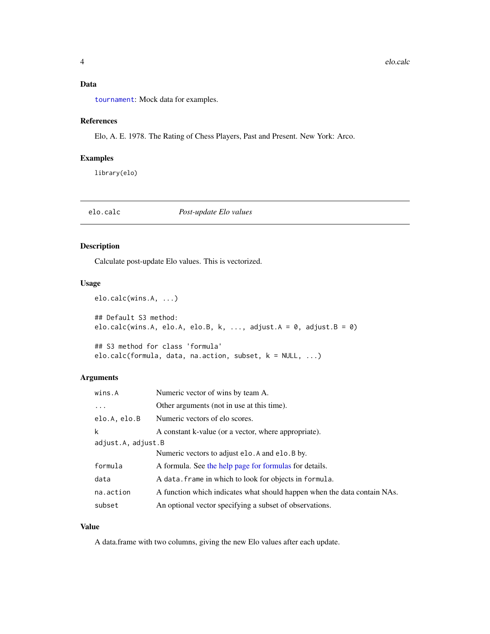### <span id="page-3-0"></span>Data

[tournament](#page-27-1): Mock data for examples.

### References

Elo, A. E. 1978. The Rating of Chess Players, Past and Present. New York: Arco.

### Examples

library(elo)

#### <span id="page-3-1"></span>elo.calc *Post-update Elo values*

#### Description

Calculate post-update Elo values. This is vectorized.

#### Usage

```
elo.calc(wins.A, ...)
## Default S3 method:
elo.calc(wins.A, elo.A, elo.B, k, ..., adjust.A = \theta, adjust.B = \theta)
## S3 method for class 'formula'
elo.calc(formula, data, na.action, subset, k = NULL, ...)
```
#### Arguments

| wins.A             | Numeric vector of wins by team A.                                        |
|--------------------|--------------------------------------------------------------------------|
| $\ddots$ .         | Other arguments (not in use at this time).                               |
| elo.A, elo.B       | Numeric vectors of elo scores.                                           |
| k                  | A constant k-value (or a vector, where appropriate).                     |
| adjust.A, adjust.B |                                                                          |
|                    | Numeric vectors to adjust elo. A and elo. B by.                          |
| formula            | A formula. See the help page for formulas for details.                   |
| data               | A data. frame in which to look for objects in formula.                   |
| na.action          | A function which indicates what should happen when the data contain NAs. |
| subset             | An optional vector specifying a subset of observations.                  |

#### Value

A data.frame with two columns, giving the new Elo values after each update.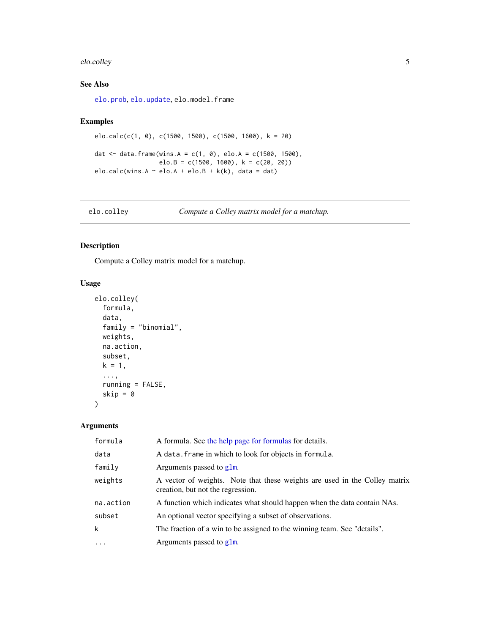#### <span id="page-4-0"></span>elo.colley 5

#### See Also

[elo.prob](#page-11-1), [elo.update](#page-16-1), elo.model.frame

#### Examples

```
elo.calc(c(1, 0), c(1500, 1500), c(1500, 1600), k = 20)
dat <- data.frame(wins.A = c(1, 0), elo.A = c(1500, 1500),
                  elo.B = c(1500, 1600), k = c(20, 20)elo.calc(wins.A \sim elo.A + elo.B + k(k), data = dat)
```
<span id="page-4-1"></span>elo.colley *Compute a Colley matrix model for a matchup.*

#### Description

Compute a Colley matrix model for a matchup.

#### Usage

```
elo.colley(
  formula,
 data,
  family = "binomial",
 weights,
 na.action,
 subset,
 k = 1,...,
 running = FALSE,
 skip = \theta)
```
#### Arguments

| formula     | A formula. See the help page for formulas for details.                                                          |
|-------------|-----------------------------------------------------------------------------------------------------------------|
| data        | A data. frame in which to look for objects in formula.                                                          |
| family      | Arguments passed to $g1m$ .                                                                                     |
| weights     | A vector of weights. Note that these weights are used in the Colley matrix<br>creation, but not the regression. |
| na.action   | A function which indicates what should happen when the data contain NAs.                                        |
| subset      | An optional vector specifying a subset of observations.                                                         |
| $\mathsf k$ | The fraction of a win to be assigned to the winning team. See "details".                                        |
| $\ddots$ .  | Arguments passed to $g1m$ .                                                                                     |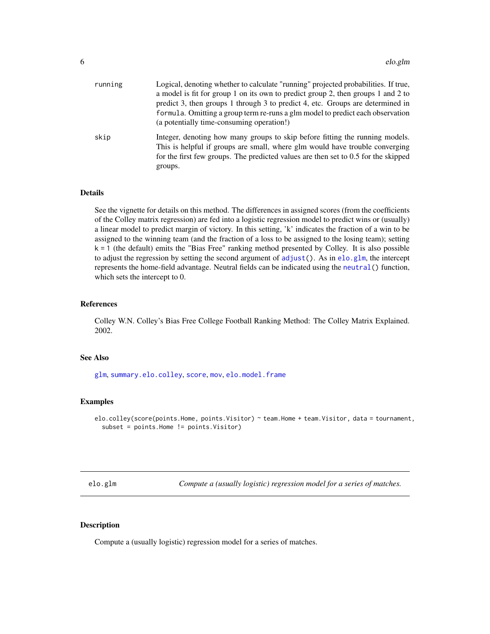<span id="page-5-0"></span>

| running | Logical, denoting whether to calculate "running" projected probabilities. If true,<br>a model is fit for group 1 on its own to predict group 2, then groups 1 and 2 to<br>predict 3, then groups 1 through 3 to predict 4, etc. Groups are determined in<br>formula. Omitting a group term re-runs a glm model to predict each observation<br>(a potentially time-consuming operation!) |
|---------|-----------------------------------------------------------------------------------------------------------------------------------------------------------------------------------------------------------------------------------------------------------------------------------------------------------------------------------------------------------------------------------------|
| skip    | Integer, denoting how many groups to skip before fitting the running models.<br>This is helpful if groups are small, where glm would have trouble converging<br>for the first few groups. The predicted values are then set to $0.5$ for the skipped<br>groups.                                                                                                                         |

#### Details

See the vignette for details on this method. The differences in assigned scores (from the coefficients of the Colley matrix regression) are fed into a logistic regression model to predict wins or (usually) a linear model to predict margin of victory. In this setting, 'k' indicates the fraction of a win to be assigned to the winning team (and the fraction of a loss to be assigned to the losing team); setting k = 1 (the default) emits the "Bias Free" ranking method presented by Colley. It is also possible to adjust the regression by setting the second argument of [adjust\(](#page-21-1)). As in [elo.glm](#page-5-1), the intercept represents the home-field advantage. Neutral fields can be indicated using the [neutral\(](#page-21-1)) function, which sets the intercept to 0.

#### References

Colley W.N. Colley's Bias Free College Football Ranking Method: The Colley Matrix Explained. 2002.

#### See Also

[glm](#page-0-0), [summary.elo.colley](#page-25-2), [score](#page-25-1), [mov](#page-9-1), [elo.model.frame](#page-8-1)

#### Examples

elo.colley(score(points.Home, points.Visitor) ~ team.Home + team.Visitor, data = tournament, subset = points.Home != points.Visitor)

<span id="page-5-1"></span>elo.glm *Compute a (usually logistic) regression model for a series of matches.*

#### Description

Compute a (usually logistic) regression model for a series of matches.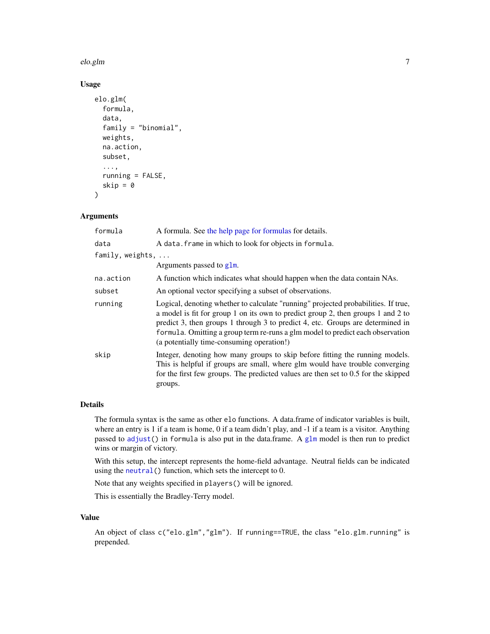#### <span id="page-6-0"></span>elo.glm 7

#### Usage

```
elo.glm(
  formula,
  data,
  family = "binomial",
  weights,
  na.action,
  subset,
  ...,
  running = FALSE,
  skip = \theta\lambda
```
#### Arguments

| formula                  | A formula. See the help page for formulas for details.                                                                                                                                                                                                                                                                                                                                  |
|--------------------------|-----------------------------------------------------------------------------------------------------------------------------------------------------------------------------------------------------------------------------------------------------------------------------------------------------------------------------------------------------------------------------------------|
| data                     | A data. frame in which to look for objects in formula.                                                                                                                                                                                                                                                                                                                                  |
| family, weights, $\dots$ |                                                                                                                                                                                                                                                                                                                                                                                         |
|                          | Arguments passed to glm.                                                                                                                                                                                                                                                                                                                                                                |
| na.action                | A function which indicates what should happen when the data contain NAs.                                                                                                                                                                                                                                                                                                                |
| subset                   | An optional vector specifying a subset of observations.                                                                                                                                                                                                                                                                                                                                 |
| running                  | Logical, denoting whether to calculate "running" projected probabilities. If true,<br>a model is fit for group 1 on its own to predict group 2, then groups 1 and 2 to<br>predict 3, then groups 1 through 3 to predict 4, etc. Groups are determined in<br>formula. Omitting a group term re-runs a glm model to predict each observation<br>(a potentially time-consuming operation!) |
| skip                     | Integer, denoting how many groups to skip before fitting the running models.<br>This is helpful if groups are small, where glm would have trouble converging<br>for the first few groups. The predicted values are then set to 0.5 for the skipped<br>groups.                                                                                                                           |

#### Details

The formula syntax is the same as other elo functions. A data.frame of indicator variables is built, where an entry is 1 if a team is home, 0 if a team didn't play, and -1 if a team is a visitor. Anything passed to [adjust\(](#page-21-1)) in formula is also put in the data.frame. A [glm](#page-0-0) model is then run to predict wins or margin of victory.

With this setup, the intercept represents the home-field advantage. Neutral fields can be indicated using the [neutral\(](#page-21-1)) function, which sets the intercept to 0.

Note that any weights specified in players() will be ignored.

This is essentially the Bradley-Terry model.

#### Value

An object of class c("elo.glm","glm"). If running==TRUE, the class "elo.glm.running" is prepended.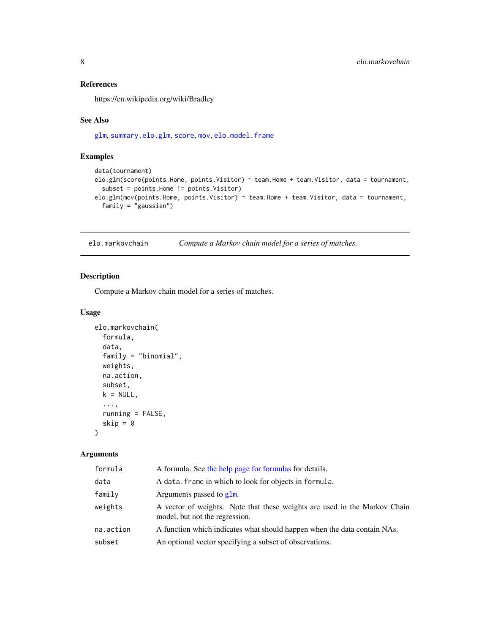#### <span id="page-7-0"></span>References

https://en.wikipedia.org/wiki/Bradley

#### See Also

[glm](#page-0-0), [summary.elo.glm](#page-25-2), [score](#page-25-1), [mov](#page-9-1), [elo.model.frame](#page-8-1)

#### Examples

```
data(tournament)
elo.glm(score(points.Home, points.Visitor) ~ team.Home + team.Visitor, data = tournament,
 subset = points.Home != points.Visitor)
elo.glm(mov(points.Home, points.Visitor) ~ team.Home + team.Visitor, data = tournament,
 family = "gaussian")
```
<span id="page-7-1"></span>elo.markovchain *Compute a Markov chain model for a series of matches.*

#### Description

Compute a Markov chain model for a series of matches.

#### Usage

```
elo.markovchain(
  formula,
  data,
  family = "binomial",
  weights,
  na.action,
  subset,
  k = NULL,...,
  running = FALSE,
  skip = 0
\mathcal{L}
```
#### Arguments

| formula   | A formula. See the help page for formulas for details.                                                      |
|-----------|-------------------------------------------------------------------------------------------------------------|
| data      | A data. frame in which to look for objects in formula.                                                      |
| family    | Arguments passed to glm.                                                                                    |
| weights   | A vector of weights. Note that these weights are used in the Markov Chain<br>model, but not the regression. |
| na.action | A function which indicates what should happen when the data contain NAs.                                    |
| subset    | An optional vector specifying a subset of observations.                                                     |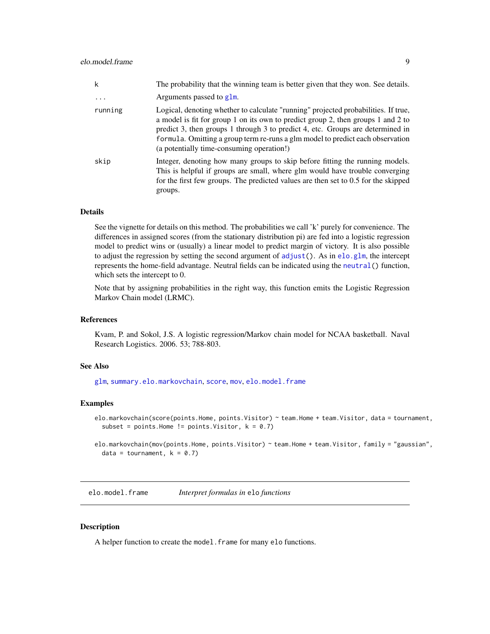<span id="page-8-0"></span>

| k         | The probability that the winning team is better given that they won. See details.                                                                                                                                                                                                                                                                                                       |
|-----------|-----------------------------------------------------------------------------------------------------------------------------------------------------------------------------------------------------------------------------------------------------------------------------------------------------------------------------------------------------------------------------------------|
| $\ddotsc$ | Arguments passed to g1m.                                                                                                                                                                                                                                                                                                                                                                |
| running   | Logical, denoting whether to calculate "running" projected probabilities. If true,<br>a model is fit for group 1 on its own to predict group 2, then groups 1 and 2 to<br>predict 3, then groups 1 through 3 to predict 4, etc. Groups are determined in<br>formula. Omitting a group term re-runs a glm model to predict each observation<br>(a potentially time-consuming operation!) |
| skip      | Integer, denoting how many groups to skip before fitting the running models.<br>This is helpful if groups are small, where glm would have trouble converging<br>for the first few groups. The predicted values are then set to 0.5 for the skipped<br>groups.                                                                                                                           |

#### Details

See the vignette for details on this method. The probabilities we call 'k' purely for convenience. The differences in assigned scores (from the stationary distribution pi) are fed into a logistic regression model to predict wins or (usually) a linear model to predict margin of victory. It is also possible to adjust the regression by setting the second argument of [adjust\(](#page-21-1)). As in [elo.glm](#page-5-1), the intercept represents the home-field advantage. Neutral fields can be indicated using the [neutral\(](#page-21-1)) function, which sets the intercept to 0.

Note that by assigning probabilities in the right way, this function emits the Logistic Regression Markov Chain model (LRMC).

#### References

Kvam, P. and Sokol, J.S. A logistic regression/Markov chain model for NCAA basketball. Naval Research Logistics. 2006. 53; 788-803.

#### See Also

[glm](#page-0-0), [summary.elo.markovchain](#page-25-2), [score](#page-25-1), [mov](#page-9-1), [elo.model.frame](#page-8-1)

#### Examples

```
elo.markovchain(score(points.Home, points.Visitor) ~ team.Home + team.Visitor, data = tournament,
  subset = points.Home != points.Visitor, k = 0.7)
```
elo.markovchain(mov(points.Home, points.Visitor) ~ team.Home + team.Visitor, family = "gaussian", data = tournament,  $k = 0.7$ )

<span id="page-8-1"></span>elo.model.frame *Interpret formulas in* elo *functions*

#### Description

A helper function to create the model. frame for many elo functions.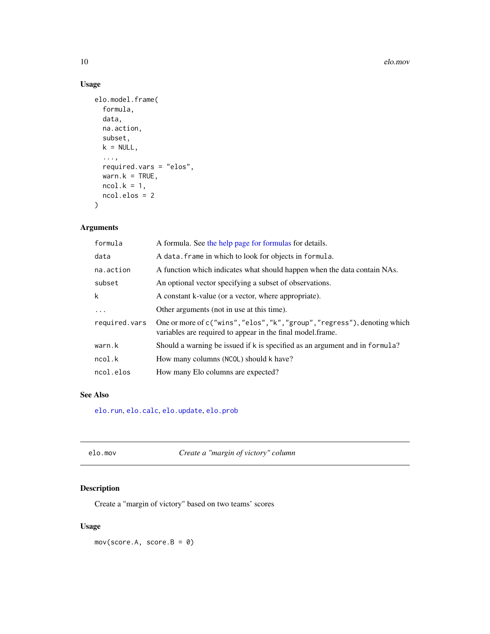#### <span id="page-9-0"></span>Usage

```
elo.model.frame(
  formula,
 data,
 na.action,
 subset,
 k = NULL,...,
 required.vars = "elos",
 wan.k = TRUE,ncol.k = 1,
 ncol.elos = 2
)
```
### Arguments

| formula       | A formula. See the help page for formulas for details.                                                                                   |
|---------------|------------------------------------------------------------------------------------------------------------------------------------------|
| data          | A data. frame in which to look for objects in formula.                                                                                   |
| na.action     | A function which indicates what should happen when the data contain NAs.                                                                 |
| subset        | An optional vector specifying a subset of observations.                                                                                  |
| k             | A constant k-value (or a vector, where appropriate).                                                                                     |
| $\ddots$      | Other arguments (not in use at this time).                                                                                               |
| required.vars | One or more of c("wins", "elos", "k", "group", "regress"), denoting which<br>variables are required to appear in the final model. frame. |
| warn.k        | Should a warning be issued if k is specified as an argument and in formula?                                                              |
| ncol.k        | How many columns (NCOL) should k have?                                                                                                   |
| ncol.elos     | How many Elo columns are expected?                                                                                                       |
|               |                                                                                                                                          |

### See Also

[elo.run](#page-12-1), [elo.calc](#page-3-1), [elo.update](#page-16-1), [elo.prob](#page-11-1)

| Create a "margin of victory" column<br>elo.mov |  |
|------------------------------------------------|--|
|------------------------------------------------|--|

### <span id="page-9-1"></span>Description

Create a "margin of victory" based on two teams' scores

#### Usage

mov(score.A, score.B = 0)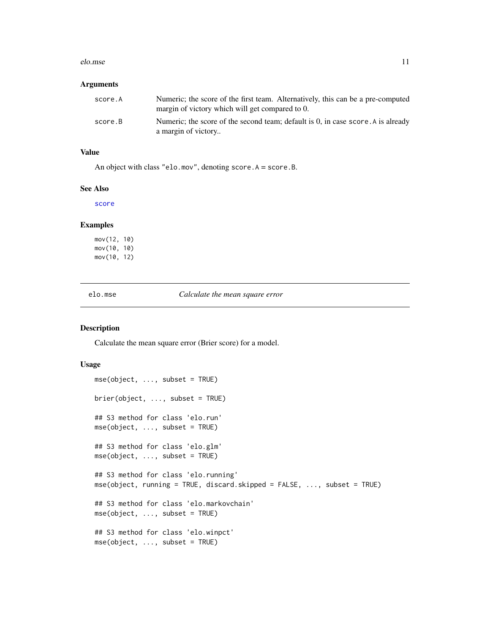#### <span id="page-10-0"></span>elo.mse and the set of the set of the set of the set of the set of the set of the set of the set of the set of the set of the set of the set of the set of the set of the set of the set of the set of the set of the set of t

#### Arguments

| score.A | Numeric; the score of the first team. Alternatively, this can be a pre-computed<br>margin of victory which will get compared to 0. |
|---------|------------------------------------------------------------------------------------------------------------------------------------|
| score.B | Numeric; the score of the second team; default is $0$ , in case score. A is already<br>a margin of victory                         |

#### Value

An object with class "elo.mov", denoting score.A = score.B.

#### See Also

[score](#page-25-1)

#### Examples

mov(12, 10) mov(10, 10) mov(10, 12)

elo.mse *Calculate the mean square error*

#### <span id="page-10-1"></span>Description

Calculate the mean square error (Brier score) for a model.

```
mse(object, ..., subset = TRUE)brier(object, ..., subset = TRUE)
## S3 method for class 'elo.run'
mse(object, ..., subset = TRUE)
## S3 method for class 'elo.glm'
mse(object, ..., subset = TRUE)
## S3 method for class 'elo.running'
mse(object, running = TRUE, discard.skipped = FALSE, ..., subset = TRUE)
## S3 method for class 'elo.markovchain'
mse(object, ..., subset = TRUE)
## S3 method for class 'elo.winpct'
mse(object, ..., subset = TRUE)
```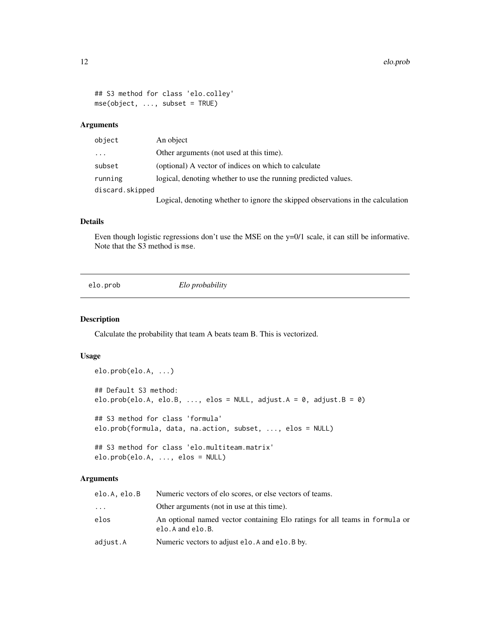```
## S3 method for class 'elo.colley'
mse(object, ..., subset = TRUE)
```
#### Arguments

| object          | An object                                                                       |
|-----------------|---------------------------------------------------------------------------------|
| .               | Other arguments (not used at this time).                                        |
| subset          | (optional) A vector of indices on which to calculate                            |
| running         | logical, denoting whether to use the running predicted values.                  |
| discard.skipped |                                                                                 |
|                 | Logical, denoting whether to ignore the skipped observations in the calculation |

#### Details

Even though logistic regressions don't use the MSE on the y=0/1 scale, it can still be informative. Note that the S3 method is mse.

<span id="page-11-1"></span>elo.prob *Elo probability*

#### Description

Calculate the probability that team A beats team B. This is vectorized.

#### Usage

```
elo.prob(elo.A, ...)
## Default S3 method:
elo.prob(elo.A, elo.B, ..., elos = NULL, adjust.A = 0, adjust.B = 0)
## S3 method for class 'formula'
elo.prob(formula, data, na.action, subset, ..., elos = NULL)
## S3 method for class 'elo.multiteam.matrix'
elo.prob(elo.A, ..., elos = NULL)
```
#### Arguments

| elo.A. elo.B | Numeric vectors of elo scores, or else vectors of teams.                                        |
|--------------|-------------------------------------------------------------------------------------------------|
| .            | Other arguments (not in use at this time).                                                      |
| elos         | An optional named vector containing Elo ratings for all teams in formula or<br>elo.A and elo.B. |
| adjust.A     | Numeric vectors to adjust elo. A and elo. B by.                                                 |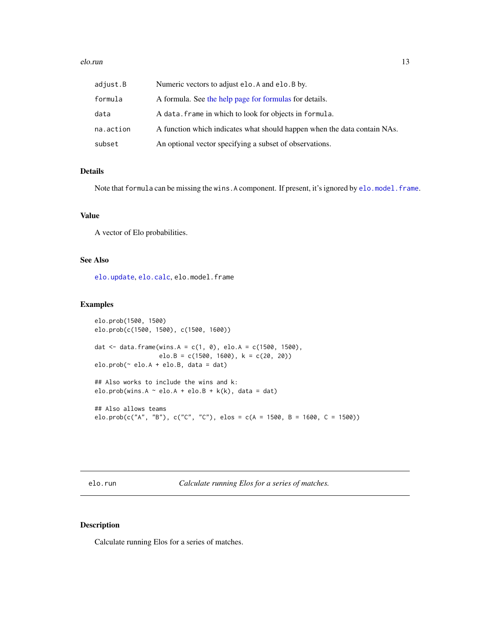#### <span id="page-12-0"></span>elo.run 13

| adjust.B  | Numeric vectors to adjust elo. A and elo. B by.                          |
|-----------|--------------------------------------------------------------------------|
| formula   | A formula. See the help page for formulas for details.                   |
| data      | A data. frame in which to look for objects in formula.                   |
| na.action | A function which indicates what should happen when the data contain NAs. |
| subset    | An optional vector specifying a subset of observations.                  |

#### Details

Note that formula can be missing the wins. A component. If present, it's ignored by [elo.model.frame](#page-8-1).

#### Value

A vector of Elo probabilities.

#### See Also

[elo.update](#page-16-1), [elo.calc](#page-3-1), elo.model.frame

#### Examples

```
elo.prob(1500, 1500)
elo.prob(c(1500, 1500), c(1500, 1600))
dat <- data.frame(wins.A = c(1, 0), elo.A = c(1500, 1500),
                  elo.B = c(1500, 1600), k = c(20, 20))
elo.prob( \sim elo.A + elo.B, data = dat)
## Also works to include the wins and k:
elo.prob(wins.A \sim elo.A + elo.B + k(k), data = dat)
## Also allows teams
elo.prob(c("A", "B"), c("C", "C"), elos = c(A = 1500, B = 1600, C = 1500))
```
<span id="page-12-1"></span>elo.run *Calculate running Elos for a series of matches.*

#### Description

Calculate running Elos for a series of matches.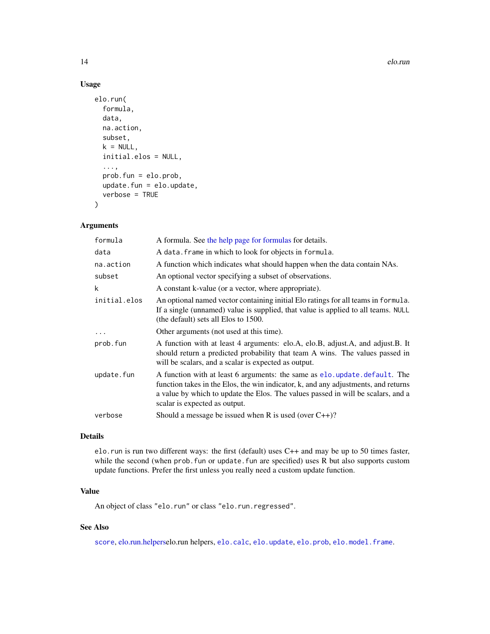<span id="page-13-0"></span>14 elo.run el antico de la contrada de la contrada de la contrada de la contrada de la contrada de la contrada de la contrada de la contrada de la contrada de la contrada de la contrada de la contrada de la contrada de la

#### Usage

```
elo.run(
  formula,
  data,
  na.action,
  subset,
  k = NULL,initial.elos = NULL,
  ...,
  prob.fun = elo.prob,
  update.fun = elo.update,
  verbose = TRUE
\mathcal{L}
```
#### Arguments

| formula      | A formula. See the help page for formulas for details.                                                                                                                                                                                                                                 |
|--------------|----------------------------------------------------------------------------------------------------------------------------------------------------------------------------------------------------------------------------------------------------------------------------------------|
| data         | A data. frame in which to look for objects in formula.                                                                                                                                                                                                                                 |
| na.action    | A function which indicates what should happen when the data contain NAs.                                                                                                                                                                                                               |
| subset       | An optional vector specifying a subset of observations.                                                                                                                                                                                                                                |
| k            | A constant k-value (or a vector, where appropriate).                                                                                                                                                                                                                                   |
| initial.elos | An optional named vector containing initial Elo ratings for all teams in formula.<br>If a single (unnamed) value is supplied, that value is applied to all teams. NULL<br>(the default) sets all Elos to 1500.                                                                         |
|              | Other arguments (not used at this time).                                                                                                                                                                                                                                               |
| prob.fun     | A function with at least 4 arguments: elo.A, elo.B, adjust.A, and adjust.B. It<br>should return a predicted probability that team A wins. The values passed in<br>will be scalars, and a scalar is expected as output.                                                                 |
| update.fun   | A function with at least 6 arguments: the same as elo. update. default. The<br>function takes in the Elos, the win indicator, k, and any adjustments, and returns<br>a value by which to update the Elos. The values passed in will be scalars, and a<br>scalar is expected as output. |
| verbose      | Should a message be issued when R is used (over $C_{++}$ )?                                                                                                                                                                                                                            |
|              |                                                                                                                                                                                                                                                                                        |

#### Details

elo.run is run two different ways: the first (default) uses C++ and may be up to 50 times faster, while the second (when prob. fun or update. fun are specified) uses R but also supports custom update functions. Prefer the first unless you really need a custom update function.

#### Value

An object of class "elo.run" or class "elo.run.regressed".

### See Also

[score](#page-25-1), [elo.run.helperse](#page-14-1)lo.run helpers, [elo.calc](#page-3-1), [elo.update](#page-16-1), [elo.prob](#page-11-1), [elo.model.frame](#page-8-1).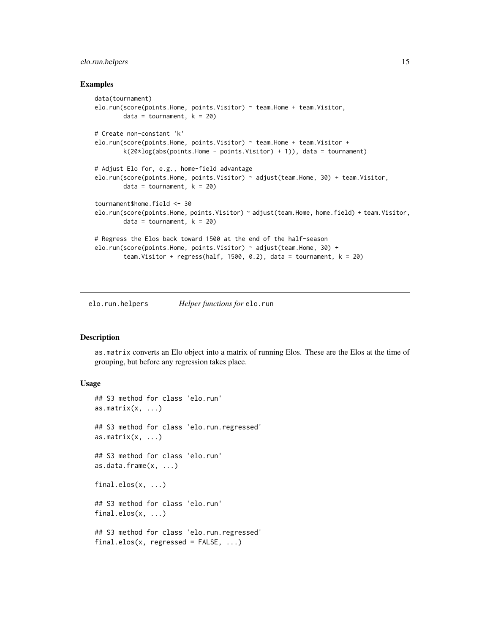#### <span id="page-14-0"></span>elo.run.helpers 15

#### Examples

```
data(tournament)
elo.run(score(points.Home, points.Visitor) ~ team.Home + team.Visitor,
       data = tournament, k = 20# Create non-constant 'k'
elo.run(score(points.Home, points.Visitor) ~ team.Home + team.Visitor +
       k(20 * log(abs(points) + point s), data = tournament)
# Adjust Elo for, e.g., home-field advantage
elo.run(score(points.Home, points.Visitor) ~ adjust(team.Home, 30) + team.Visitor,
       data = tournament, k = 20tournament$home.field <- 30
elo.run(score(points.Home, points.Visitor) ~ adjust(team.Home, home.field) + team.Visitor,
       data = tournament, k = 20# Regress the Elos back toward 1500 at the end of the half-season
elo.run(score(points.Home, points.Visitor) ~ adjust(team.Home, 30) +
       team.Visitor + regress(half, 1500, 0.2), data = tournament, k = 20)
```
<span id="page-14-1"></span>elo.run.helpers *Helper functions for* elo.run

#### <span id="page-14-2"></span>Description

as.matrix converts an Elo object into a matrix of running Elos. These are the Elos at the time of grouping, but before any regression takes place.

```
## S3 method for class 'elo.run'
as.matrix(x, \ldots)## S3 method for class 'elo.run.regressed'
as.matrix(x, \ldots)## S3 method for class 'elo.run'
as.data.frame(x, ...)
final.elos(x, ...)
## S3 method for class 'elo.run'
final.elos(x, ...)
## S3 method for class 'elo.run.regressed'
final.elos(x, regressed = FALSE, ...)
```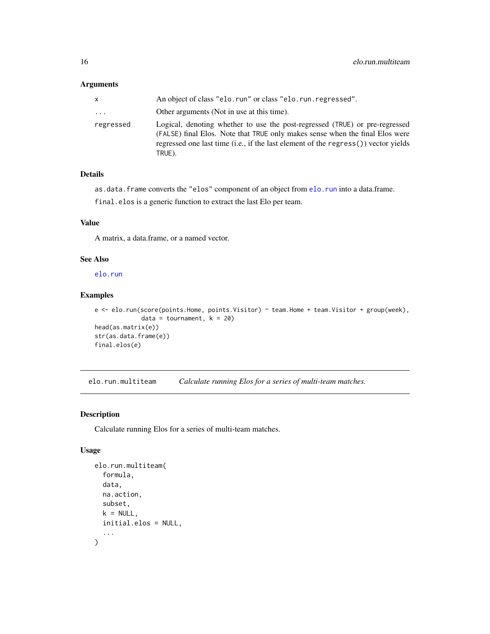#### <span id="page-15-0"></span>Arguments

| x.        | An object of class "elo.run" or class "elo.run.regressed".                                                                                                                                                                                                  |
|-----------|-------------------------------------------------------------------------------------------------------------------------------------------------------------------------------------------------------------------------------------------------------------|
| .         | Other arguments (Not in use at this time).                                                                                                                                                                                                                  |
| regressed | Logical, denoting whether to use the post-regressed (TRUE) or pre-regressed<br>(FALSE) final Elos. Note that TRUE only makes sense when the final Elos were<br>regressed one last time (i.e., if the last element of the regress()) vector yields<br>TRUE). |

#### Details

as.data.frame converts the "elos" component of an object from [elo.run](#page-12-1) into a data.frame.

final.elos is a generic function to extract the last Elo per team.

#### Value

A matrix, a data.frame, or a named vector.

#### See Also

[elo.run](#page-12-1)

#### Examples

```
e <- elo.run(score(points.Home, points.Visitor) ~ team.Home + team.Visitor + group(week),
            data = tournament, k = 20head(as.matrix(e))
str(as.data.frame(e))
final.elos(e)
```
<span id="page-15-1"></span>elo.run.multiteam *Calculate running Elos for a series of multi-team matches.*

#### Description

Calculate running Elos for a series of multi-team matches.

```
elo.run.multiteam(
  formula,
  data,
  na.action,
  subset,
  k = NULL,initial.elos = NULL,
  ...
\mathcal{L}
```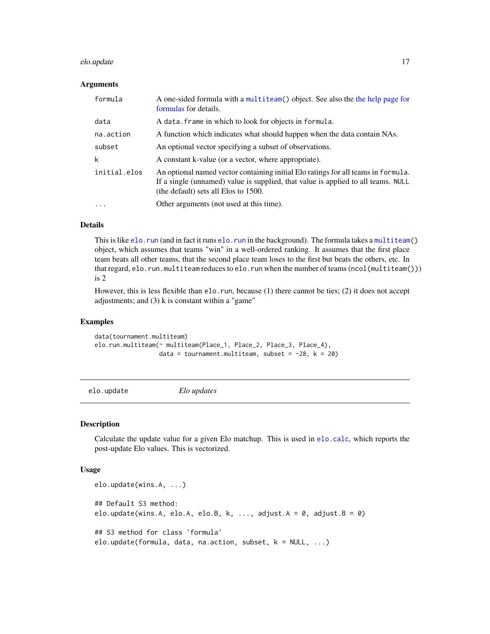#### <span id="page-16-0"></span>elo.update 17

#### Arguments

| formula      | A one-sided formula with a multiteam() object. See also the the help page for<br>formulas for details.                                                                                                         |
|--------------|----------------------------------------------------------------------------------------------------------------------------------------------------------------------------------------------------------------|
| data         | A data. frame in which to look for objects in formula.                                                                                                                                                         |
| na.action    | A function which indicates what should happen when the data contain NAs.                                                                                                                                       |
| subset       | An optional vector specifying a subset of observations.                                                                                                                                                        |
| k            | A constant k-value (or a vector, where appropriate).                                                                                                                                                           |
| initial.elos | An optional named vector containing initial Elo ratings for all teams in formula.<br>If a single (unnamed) value is supplied, that value is applied to all teams. NULL<br>(the default) sets all Elos to 1500. |
| .            | Other arguments (not used at this time).                                                                                                                                                                       |

#### Details

This is like [elo.run](#page-12-1) (and in fact it runs elo.run in the background). The formula takes a [multiteam\(](#page-21-1)) object, which assumes that teams "win" in a well-ordered ranking. It assumes that the first place team beats all other teams, that the second place team loses to the first but beats the others, etc. In that regard, elo.run.multiteam reduces to elo.run when the number of teams (ncol(multiteam())) is 2

However, this is less flexible than elo.run, because (1) there cannot be ties; (2) it does not accept adjustments; and  $(3)$  k is constant within a "game"

#### Examples

```
data(tournament.multiteam)
elo.run.multiteam(~ multiteam(Place_1, Place_2, Place_3, Place_4),
                  data = tournament.multiteam, subset = -28, k = 20)
```
<span id="page-16-1"></span>elo.update *Elo updates*

#### <span id="page-16-2"></span>Description

Calculate the update value for a given Elo matchup. This is used in [elo.calc](#page-3-1), which reports the post-update Elo values. This is vectorized.

```
elo.update(wins.A, ...)
## Default S3 method:
elo.update(wins.A, elo.A, elo.B, k, ..., adjust.A = 0, adjust.B = 0)
## S3 method for class 'formula'
elo.update(formula, data, na.action, subset, k = NULL, ...)
```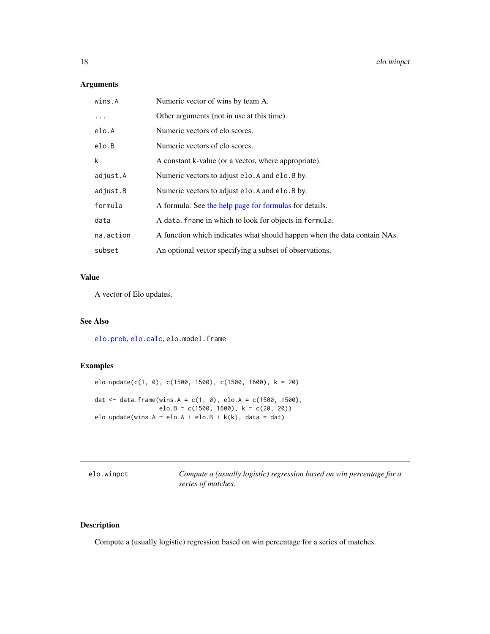#### <span id="page-17-0"></span>Arguments

| wins.A    | Numeric vector of wins by team A.                                        |
|-----------|--------------------------------------------------------------------------|
| $\cdots$  | Other arguments (not in use at this time).                               |
| elo.A     | Numeric vectors of elo scores.                                           |
| elo.B     | Numeric vectors of elo scores.                                           |
| k         | A constant k-value (or a vector, where appropriate).                     |
| adjust.A  | Numeric vectors to adjust elo. A and elo. B by.                          |
| adjust.B  | Numeric vectors to adjust elo. A and elo. B by.                          |
| formula   | A formula. See the help page for formulas for details.                   |
| data      | A data. frame in which to look for objects in formula.                   |
| na.action | A function which indicates what should happen when the data contain NAs. |
| subset    | An optional vector specifying a subset of observations.                  |

### Value

A vector of Elo updates.

#### See Also

[elo.prob](#page-11-1), [elo.calc](#page-3-1), elo.model.frame

#### Examples

```
elo.update(c(1, 0), c(1500, 1500), c(1500, 1600), k = 20)
dat <- data.frame(wins.A = c(1, 0), elo.A = c(1500, 1500),
                 elo.B = c(1500, 1600), k = c(20, 20)elo.update(wins.A \sim elo.A + elo.B + k(k), data = dat)
```
elo.winpct *Compute a (usually logistic) regression based on win percentage for a series of matches.*

### Description

Compute a (usually logistic) regression based on win percentage for a series of matches.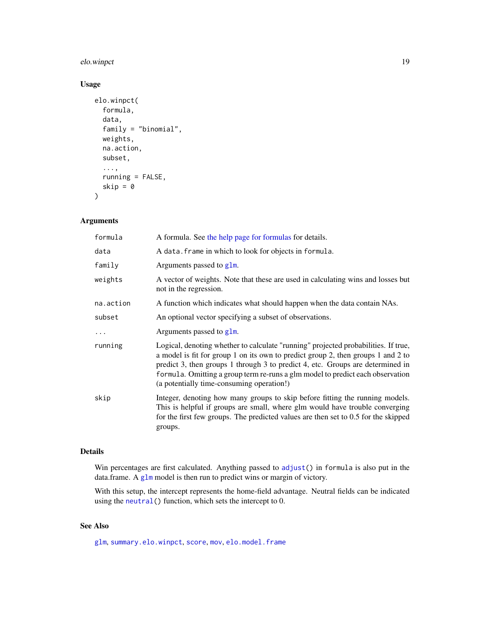#### <span id="page-18-0"></span>elo.winpct 19

#### Usage

```
elo.winpct(
  formula,
  data,
  family = "binomial",
  weights,
  na.action,
  subset,
  ...,
  running = FALSE,
  skip = \theta\mathcal{L}
```
#### Arguments

| formula   | A formula. See the help page for formulas for details.                                                                                                                                                                                                                                                                                                                                  |
|-----------|-----------------------------------------------------------------------------------------------------------------------------------------------------------------------------------------------------------------------------------------------------------------------------------------------------------------------------------------------------------------------------------------|
| data      | A data. frame in which to look for objects in formula.                                                                                                                                                                                                                                                                                                                                  |
| family    | Arguments passed to glm.                                                                                                                                                                                                                                                                                                                                                                |
| weights   | A vector of weights. Note that these are used in calculating wins and losses but<br>not in the regression.                                                                                                                                                                                                                                                                              |
| na.action | A function which indicates what should happen when the data contain NAs.                                                                                                                                                                                                                                                                                                                |
| subset    | An optional vector specifying a subset of observations.                                                                                                                                                                                                                                                                                                                                 |
| $\cdots$  | Arguments passed to glm.                                                                                                                                                                                                                                                                                                                                                                |
| running   | Logical, denoting whether to calculate "running" projected probabilities. If true,<br>a model is fit for group 1 on its own to predict group 2, then groups 1 and 2 to<br>predict 3, then groups 1 through 3 to predict 4, etc. Groups are determined in<br>formula. Omitting a group term re-runs a glm model to predict each observation<br>(a potentially time-consuming operation!) |
| skip      | Integer, denoting how many groups to skip before fitting the running models.<br>This is helpful if groups are small, where glm would have trouble converging<br>for the first few groups. The predicted values are then set to 0.5 for the skipped<br>groups.                                                                                                                           |

#### Details

Win percentages are first calculated. Anything passed to [adjust\(](#page-21-1)) in formula is also put in the data.frame. A [glm](#page-0-0) model is then run to predict wins or margin of victory.

With this setup, the intercept represents the home-field advantage. Neutral fields can be indicated using the [neutral\(](#page-21-1)) function, which sets the intercept to 0.

#### See Also

[glm](#page-0-0), [summary.elo.winpct](#page-25-2), [score](#page-25-1), [mov](#page-9-1), [elo.model.frame](#page-8-1)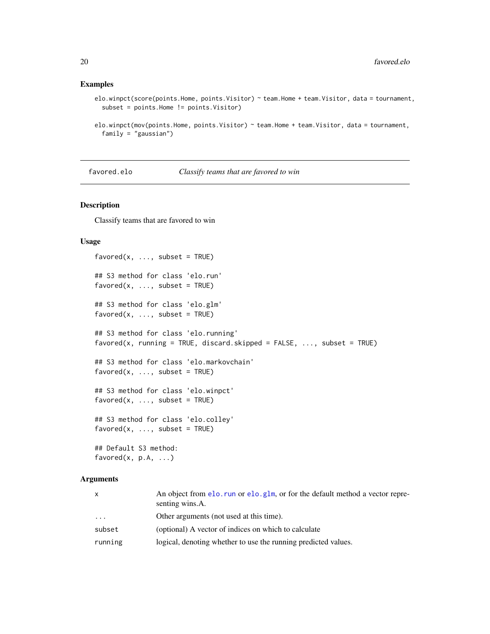#### <span id="page-19-0"></span>Examples

```
elo.winpct(score(points.Home, points.Visitor) ~ team.Home + team.Visitor, data = tournament,
 subset = points.Home != points.Visitor)
```

```
elo.winpct(mov(points.Home, points.Visitor) ~ team.Home + team.Visitor, data = tournament,
 family = "gaussian")
```
favored.elo *Classify teams that are favored to win*

#### <span id="page-19-1"></span>Description

Classify teams that are favored to win

#### Usage

```
favored(x, ..., subset = TRUE)## S3 method for class 'elo.run'
favored(x, ..., subset = TRUE)## S3 method for class 'elo.glm'
favored(x, ..., subset = TRUE)## S3 method for class 'elo.running'
favored(x, running = TRUE, discard.skipped = FALSE, ..., subset = TRUE)## S3 method for class 'elo.markovchain'
favored(x, ..., subset = TRUE)## S3 method for class 'elo.winpct'
favored(x, ..., subset = TRUE)## S3 method for class 'elo.colley'
favored(x, ..., subset = TRUE)## Default S3 method:
favored(x, p.A, ...)
```
#### Arguments

| $\mathsf{x}$ | An object from elo. run or elo. $g1m$ , or for the default method a vector repre-<br>senting wins.A. |
|--------------|------------------------------------------------------------------------------------------------------|
| .            | Other arguments (not used at this time).                                                             |
| subset       | (optional) A vector of indices on which to calculate                                                 |
| running      | logical, denoting whether to use the running predicted values.                                       |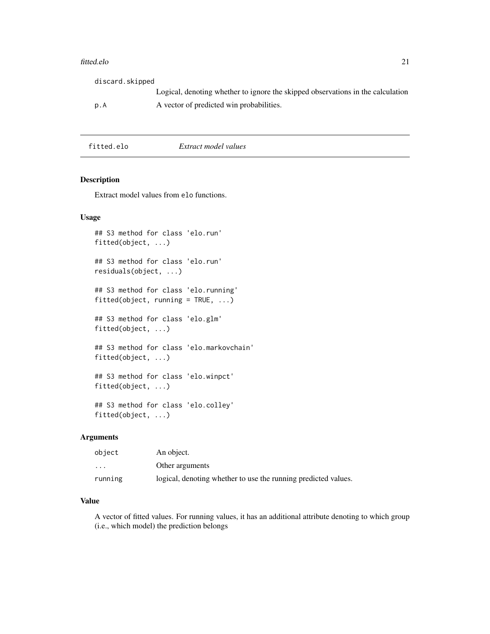#### <span id="page-20-0"></span>fitted.elo 21

| discard.skipped |                                                                                 |
|-----------------|---------------------------------------------------------------------------------|
|                 | Logical, denoting whether to ignore the skipped observations in the calculation |
| p.A             | A vector of predicted win probabilities.                                        |
|                 |                                                                                 |

fitted.elo *Extract model values*

#### Description

Extract model values from elo functions.

#### Usage

```
## S3 method for class 'elo.run'
fitted(object, ...)
## S3 method for class 'elo.run'
residuals(object, ...)
## S3 method for class 'elo.running'
fitted(object, running = TRUE, ...)
## S3 method for class 'elo.glm'
fitted(object, ...)
## S3 method for class 'elo.markovchain'
fitted(object, ...)
## S3 method for class 'elo.winpct'
fitted(object, ...)
## S3 method for class 'elo.colley'
```
#### Arguments

fitted(object, ...)

| object                  | An object.                                                     |
|-------------------------|----------------------------------------------------------------|
| $\cdot$ $\cdot$ $\cdot$ | Other arguments                                                |
| running                 | logical, denoting whether to use the running predicted values. |

#### Value

A vector of fitted values. For running values, it has an additional attribute denoting to which group (i.e., which model) the prediction belongs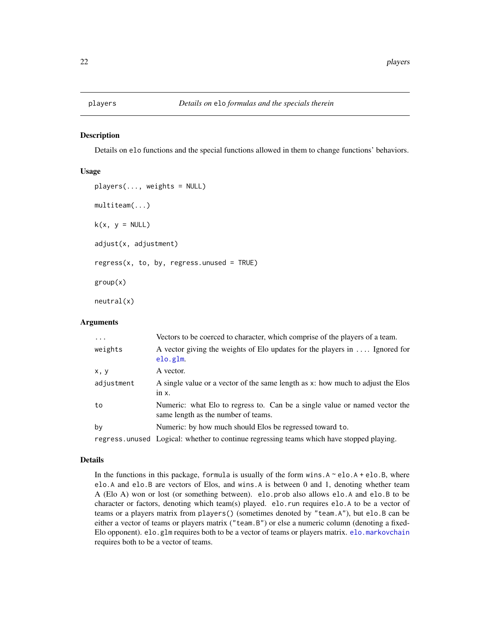#### <span id="page-21-1"></span><span id="page-21-0"></span>Description

Details on elo functions and the special functions allowed in them to change functions' behaviors.

#### Usage

```
plays = NULL)multiteam(...)
k(x, y = NULL)adjust(x, adjustment)
regress(x, to, by, regress.unused = TRUE)group(x)
neutral(x)
```
#### Arguments

| $\cdots$   | Vectors to be coerced to character, which comprise of the players of a team.                                      |
|------------|-------------------------------------------------------------------------------------------------------------------|
| weights    | A vector giving the weights of Elo updates for the players in  Ignored for<br>elo.glm.                            |
| x, y       | A vector.                                                                                                         |
| adjustment | A single value or a vector of the same length as x: how much to adjust the Elos                                   |
|            | $in x$ .                                                                                                          |
| to         | Numeric: what Elo to regress to. Can be a single value or named vector the<br>same length as the number of teams. |
| by         | Numeric: by how much should Elos be regressed toward to.                                                          |
|            | regress unused Logical: whether to continue regressing teams which have stopped playing.                          |

#### Details

In the functions in this package, formula is usually of the form wins. $A \sim$  elo. $A +$  elo.B, where elo.A and elo.B are vectors of Elos, and wins.A is between 0 and 1, denoting whether team A (Elo A) won or lost (or something between). elo.prob also allows elo.A and elo.B to be character or factors, denoting which team(s) played. elo.run requires elo.A to be a vector of teams or a players matrix from players() (sometimes denoted by "team.A"), but elo.B can be either a vector of teams or players matrix ("team.B") or else a numeric column (denoting a fixed-Elo opponent). elo.glm requires both to be a vector of teams or players matrix. [elo.markovchain](#page-7-1) requires both to be a vector of teams.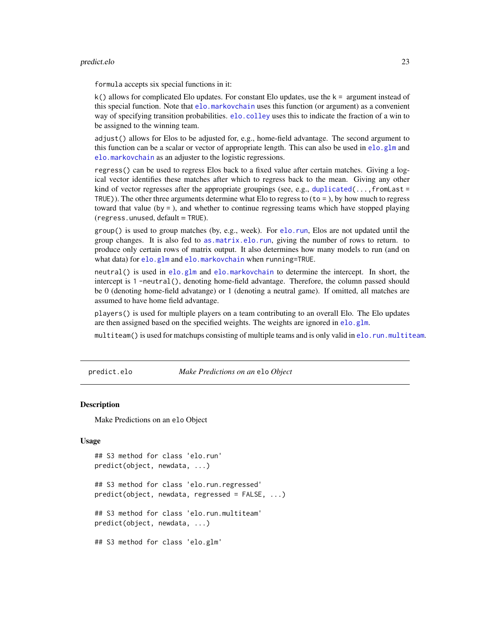#### <span id="page-22-0"></span>predict.elo 23

formula accepts six special functions in it:

 $k()$  allows for complicated Elo updates. For constant Elo updates, use the  $k =$  argument instead of this special function. Note that [elo.markovchain](#page-7-1) uses this function (or argument) as a convenient way of specifying transition probabilities. [elo.colley](#page-4-1) uses this to indicate the fraction of a win to be assigned to the winning team.

adjust() allows for Elos to be adjusted for, e.g., home-field advantage. The second argument to this function can be a scalar or vector of appropriate length. This can also be used in  $e$ lo.glm and [elo.markovchain](#page-7-1) as an adjuster to the logistic regressions.

regress() can be used to regress Elos back to a fixed value after certain matches. Giving a logical vector identifies these matches after which to regress back to the mean. Giving any other kind of vector regresses after the appropriate groupings (see, e.g., [duplicated\(](#page-0-0)..., fromLast = TRUE)). The other three arguments determine what Elo to regress to  $(t_0 = 0)$ , by how much to regress toward that value (by = ), and whether to continue regressing teams which have stopped playing  $(regress.$ unused,  $default = TRUE$ ).

group() is used to group matches (by, e.g., week). For [elo.run](#page-12-1), Elos are not updated until the group changes. It is also fed to [as.matrix.elo.run](#page-14-2), giving the number of rows to return. to produce only certain rows of matrix output. It also determines how many models to run (and on what data) for [elo.glm](#page-5-1) and [elo.markovchain](#page-7-1) when running=TRUE.

neutral() is used in [elo.glm](#page-5-1) and [elo.markovchain](#page-7-1) to determine the intercept. In short, the intercept is 1 -neutral(), denoting home-field advantage. Therefore, the column passed should be 0 (denoting home-field advatange) or 1 (denoting a neutral game). If omitted, all matches are assumed to have home field advantage.

players() is used for multiple players on a team contributing to an overall Elo. The Elo updates are then assigned based on the specified weights. The weights are ignored in [elo.glm](#page-5-1).

multiteam() is used for matchups consisting of multiple teams and is only valid in [elo.run.multiteam](#page-15-1).

predict.elo *Make Predictions on an* elo *Object*

#### Description

Make Predictions on an elo Object

```
## S3 method for class 'elo.run'
predict(object, newdata, ...)
## S3 method for class 'elo.run.regressed'
predict(object, newdata, regressed = FALSE, ...)
## S3 method for class 'elo.run.multiteam'
predict(object, newdata, ...)
## S3 method for class 'elo.glm'
```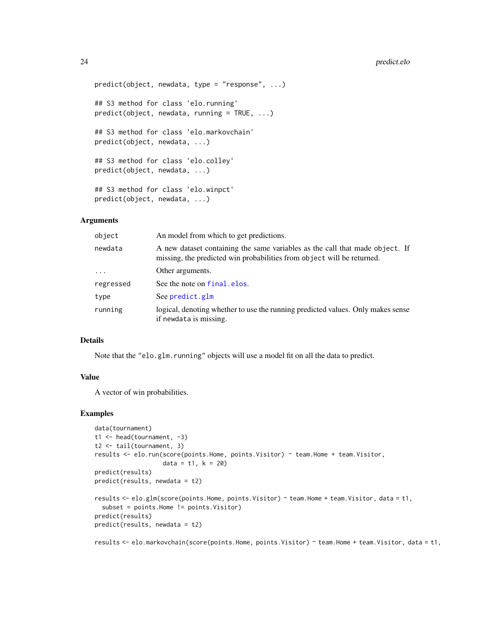#### <span id="page-23-0"></span>24 predict.elo

```
predict(object, newdata, type = "response", ...)
## S3 method for class 'elo.running'
predict(object, newdata, running = TRUE, ...)
## S3 method for class 'elo.markovchain'
predict(object, newdata, ...)
## S3 method for class 'elo.colley'
predict(object, newdata, ...)
## S3 method for class 'elo.winpct'
predict(object, newdata, ...)
```
#### Arguments

| object    | An model from which to get predictions.                                                                                                                |
|-----------|--------------------------------------------------------------------------------------------------------------------------------------------------------|
| newdata   | A new dataset containing the same variables as the call that made object. If<br>missing, the predicted win probabilities from object will be returned. |
| $\ddots$  | Other arguments.                                                                                                                                       |
| regressed | See the note on final elos.                                                                                                                            |
| type      | See predict.glm                                                                                                                                        |
| running   | logical, denoting whether to use the running predicted values. Only makes sense<br>if newdata is missing.                                              |

#### Details

Note that the "elo.glm.running" objects will use a model fit on all the data to predict.

#### Value

A vector of win probabilities.

#### Examples

```
data(tournament)
t1 <- head(tournament, -3)
t2 <- tail(tournament, 3)
results <- elo.run(score(points.Home, points.Visitor) ~ team.Home + team.Visitor,
                   data = t1, k = 20)
predict(results)
predict(results, newdata = t2)
results <- elo.glm(score(points.Home, points.Visitor) ~ team.Home + team.Visitor, data = t1,
  subset = points.Home != points.Visitor)
predict(results)
predict(results, newdata = t2)
```
results <- elo.markovchain(score(points.Home, points.Visitor) ~ team.Home + team.Visitor, data = t1,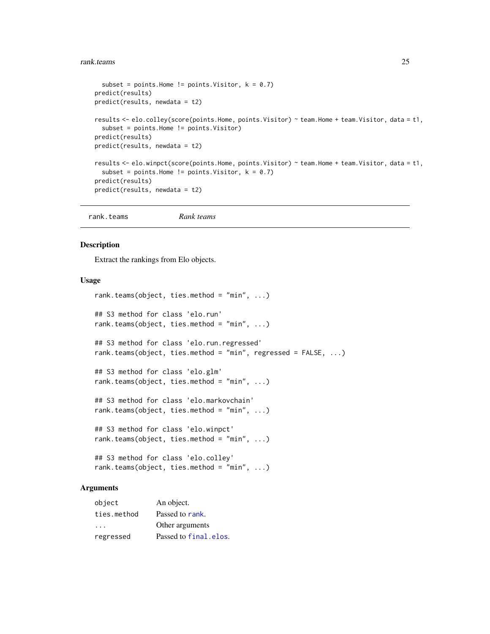#### <span id="page-24-0"></span>rank.teams 25

```
subset = points.Home != points.Visitor, k = 0.7)
predict(results)
predict(results, newdata = t2)
results <- elo.colley(score(points.Home, points.Visitor) ~ team.Home + team.Visitor, data = t1,
  subset = points.Home != points.Visitor)
predict(results)
predict(results, newdata = t2)
results <- elo.winpct(score(points.Home, points.Visitor) ~ team.Home + team.Visitor, data = t1,
  subset = points.Home != points.Visitor, k = 0.7)
predict(results)
predict(results, newdata = t2)
```

```
rank.teams Rank teams
```
#### Description

Extract the rankings from Elo objects.

#### Usage

```
rank.teams(object, ties.method = "min", ...)
## S3 method for class 'elo.run'
rank.teams(object, ties.method = "min", ...)
## S3 method for class 'elo.run.regressed'
rank.teams(object, ties.method = "min", regressed = FALSE, ...)
## S3 method for class 'elo.glm'
rank.teams(object, ties.method = "min", ...)
## S3 method for class 'elo.markovchain'
rank.teams(object, ties.method = "min", ...)
## S3 method for class 'elo.winpct'
rank.teams(object, ties.method = "min", ...)
## S3 method for class 'elo.colley'
rank.teams(object, ties.method = "min", ...)
```
#### Arguments

| object      | An object.            |
|-------------|-----------------------|
| ties.method | Passed to rank.       |
| $\cdot$ .   | Other arguments       |
| regressed   | Passed to final elos. |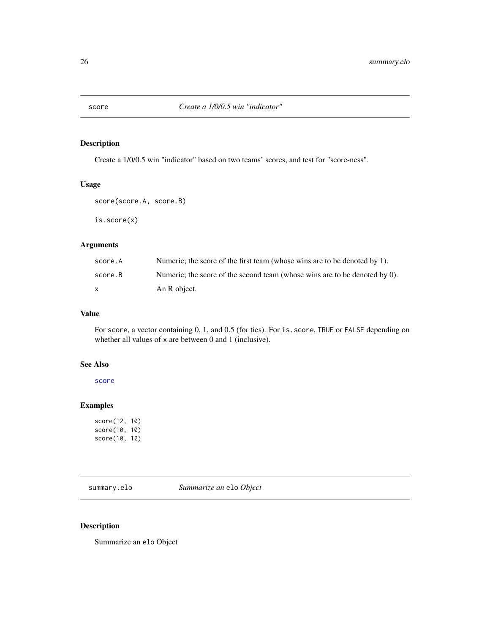<span id="page-25-1"></span><span id="page-25-0"></span>

#### Description

Create a 1/0/0.5 win "indicator" based on two teams' scores, and test for "score-ness".

### Usage

score(score.A, score.B)

is.score(x)

#### Arguments

| score.A | Numeric; the score of the first team (whose wins are to be denoted by 1).  |
|---------|----------------------------------------------------------------------------|
| score.B | Numeric; the score of the second team (whose wins are to be denoted by 0). |
|         | An R object.                                                               |

#### Value

For score, a vector containing 0, 1, and 0.5 (for ties). For is. score, TRUE or FALSE depending on whether all values of x are between 0 and 1 (inclusive).

#### See Also

[score](#page-25-1)

### Examples

score(12, 10) score(10, 10) score(10, 12)

summary.elo *Summarize an* elo *Object*

#### <span id="page-25-2"></span>Description

Summarize an elo Object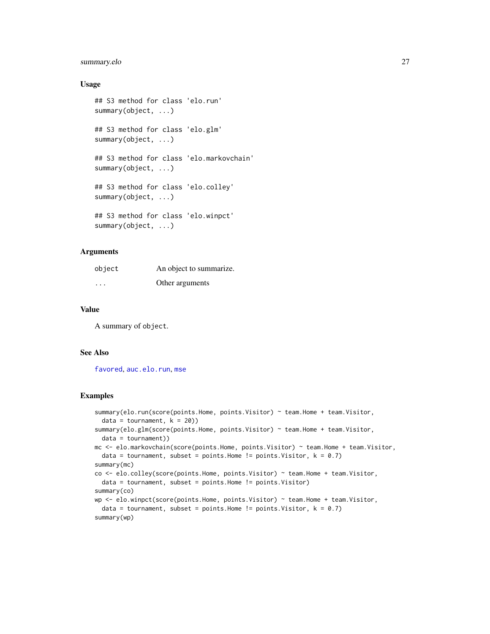#### <span id="page-26-0"></span>summary.elo 27

#### Usage

```
## S3 method for class 'elo.run'
summary(object, ...)
## S3 method for class 'elo.glm'
summary(object, ...)
## S3 method for class 'elo.markovchain'
summary(object, ...)
## S3 method for class 'elo.colley'
summary(object, ...)
## S3 method for class 'elo.winpct'
summary(object, ...)
```
## **Arguments**

| object                  | An object to summarize. |
|-------------------------|-------------------------|
| $\cdot$ $\cdot$ $\cdot$ | Other arguments         |

#### Value

A summary of object.

#### See Also

[favored](#page-19-1), [auc.elo.run](#page-1-1), [mse](#page-10-1)

#### Examples

```
summary(elo.run(score(points.Home, points.Visitor) ~ team.Home + team.Visitor,
 data = tournament, k = 20)summary(elo.glm(score(points.Home, points.Visitor) ~ team.Home + team.Visitor,
  data = tournament))
mc <- elo.markovchain(score(points.Home, points.Visitor) ~ team.Home + team.Visitor,
  data = tournament, subset = points.Home != points.Visitor, k = 0.7)
summary(mc)
co <- elo.colley(score(points.Home, points.Visitor) ~ team.Home + team.Visitor,
  data = tournament, subset = points.Home != points.Visitor)
summary(co)
wp <- elo.winpct(score(points.Home, points.Visitor) ~ team.Home + team.Visitor,
 data = tournament, subset = points.Home != points.Visitor, k = 0.7)
summary(wp)
```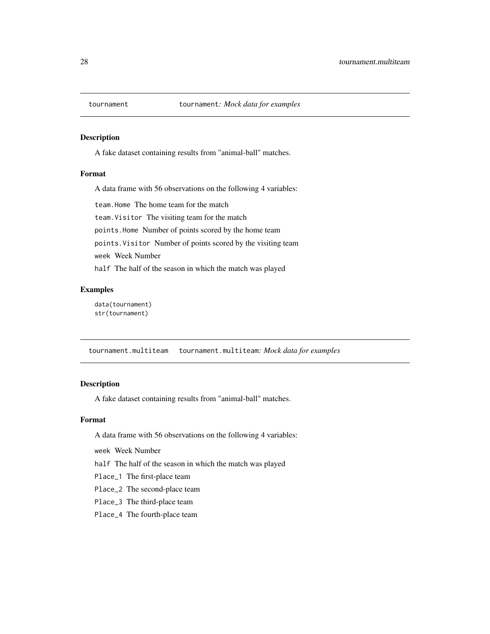<span id="page-27-1"></span><span id="page-27-0"></span>

#### Description

A fake dataset containing results from "animal-ball" matches.

#### Format

A data frame with 56 observations on the following 4 variables:

team.Home The home team for the match

team.Visitor The visiting team for the match

points.Home Number of points scored by the home team

points.Visitor Number of points scored by the visiting team

week Week Number

half The half of the season in which the match was played

#### Examples

data(tournament) str(tournament)

tournament.multiteam tournament.multiteam*: Mock data for examples*

### Description

A fake dataset containing results from "animal-ball" matches.

#### Format

A data frame with 56 observations on the following 4 variables:

week Week Number

half The half of the season in which the match was played

Place\_1 The first-place team

Place\_2 The second-place team

Place\_3 The third-place team

Place\_4 The fourth-place team